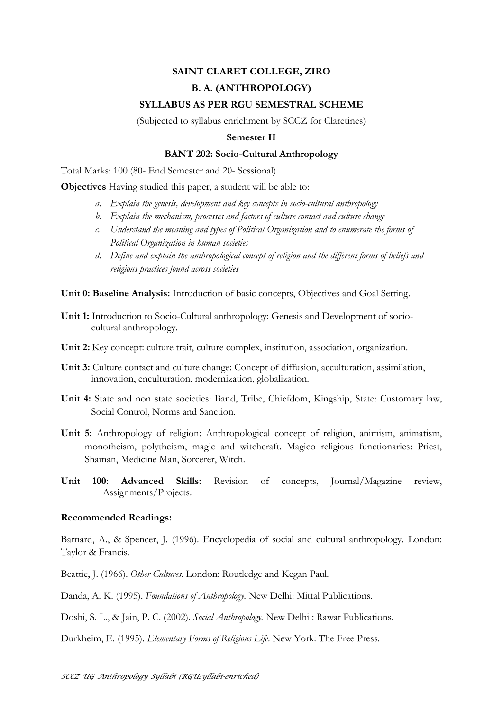# **SAINT CLARET COLLEGE, ZIRO B. A. (ANTHROPOLOGY)**

## **SYLLABUS AS PER RGU SEMESTRAL SCHEME**

(Subjected to syllabus enrichment by SCCZ for Claretines)

#### **Semester II**

### **BANT 202: Socio-Cultural Anthropology**

Total Marks: 100 (80- End Semester and 20- Sessional)

**Objectives** Having studied this paper, a student will be able to:

- *a. Explain the genesis, development and key concepts in socio-cultural anthropology*
- *b. Explain the mechanism, processes and factors of culture contact and culture change*
- *c. Understand the meaning and types of Political Organization and to enumerate the forms of Political Organization in human societies*
- *d. Define and explain the anthropological concept of religion and the different forms of beliefs and religious practices found across societies*

**Unit 0: Baseline Analysis:** Introduction of basic concepts, Objectives and Goal Setting.

- **Unit 1:** Introduction to Socio-Cultural anthropology: Genesis and Development of sociocultural anthropology.
- **Unit 2:** Key concept: culture trait, culture complex, institution, association, organization.
- **Unit 3:** Culture contact and culture change: Concept of diffusion, acculturation, assimilation, innovation, enculturation, modernization, globalization.
- **Unit 4:** State and non state societies: Band, Tribe, Chiefdom, Kingship, State: Customary law, Social Control, Norms and Sanction.
- **Unit 5:** Anthropology of religion: Anthropological concept of religion, animism, animatism, monotheism, polytheism, magic and witchcraft. Magico religious functionaries: Priest, Shaman, Medicine Man, Sorcerer, Witch.
- **Unit 100: Advanced Skills:** Revision of concepts, Journal/Magazine review, Assignments/Projects.

#### **Recommended Readings:**

Barnard, A., & Spencer, J. (1996). Encyclopedia of social and cultural anthropology. London: Taylor & Francis.

Beattie, J. (1966). *Other Cultures.* London: Routledge and Kegan Paul.

Danda, A. K. (1995). *Foundations of Anthropology*. New Delhi: Mittal Publications.

Doshi, S. L., & Jain, P. C. (2002). *Social Anthropology.* New Delhi : Rawat Publications.

Durkheim, E. (1995). *Elementary Forms of Religious Life*. New York: The Free Press.